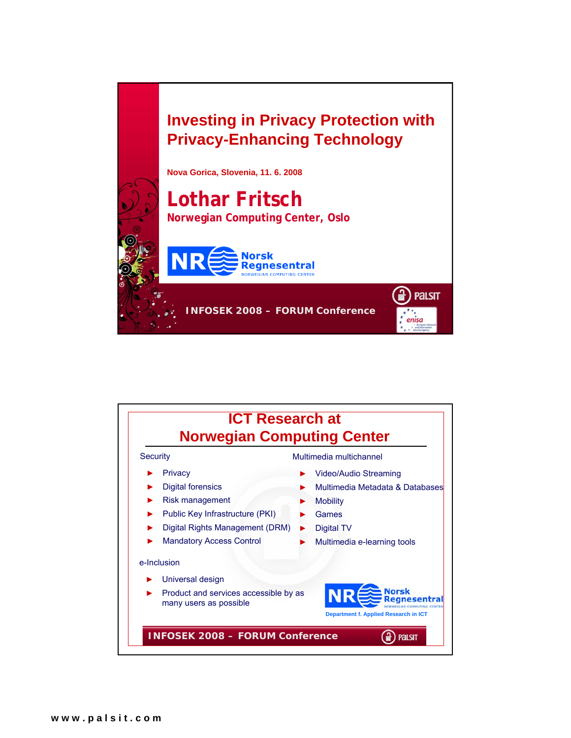

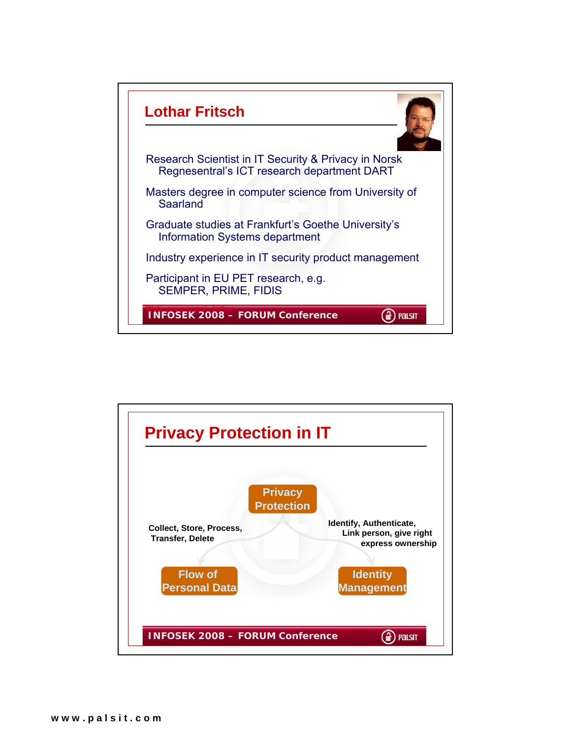

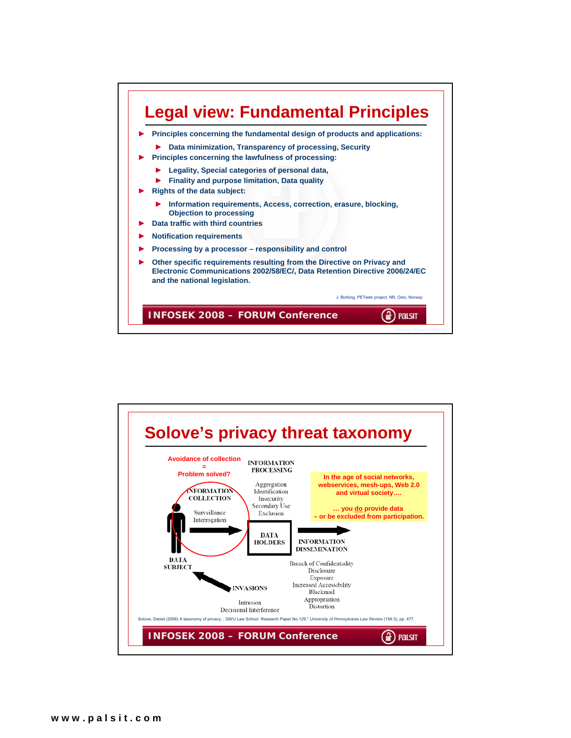

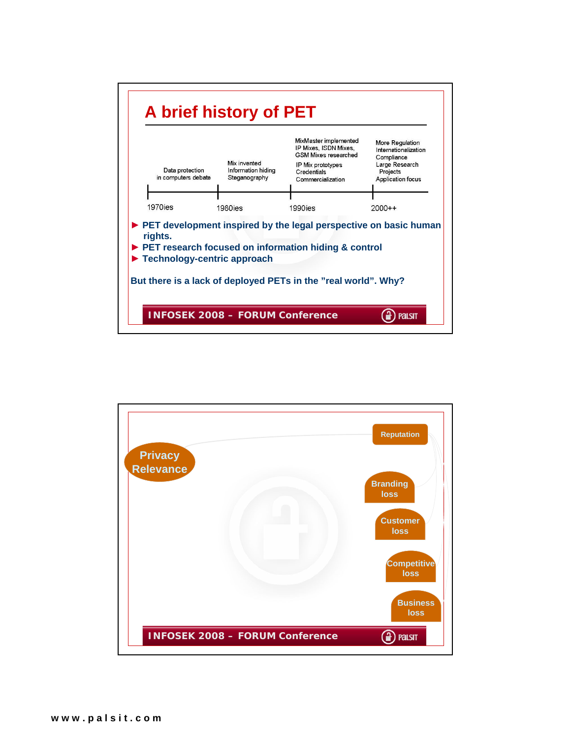

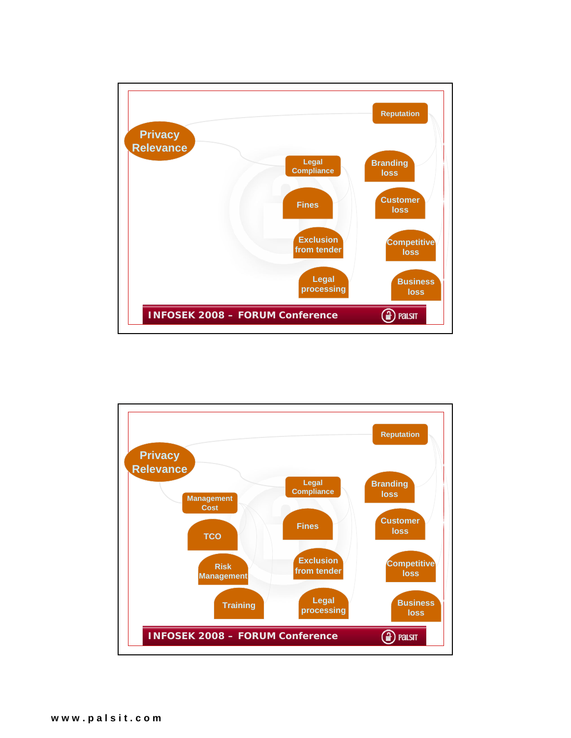

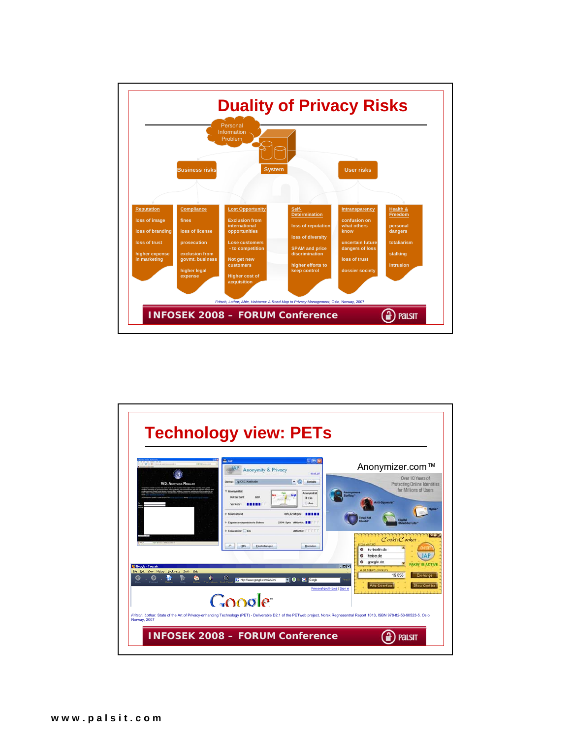

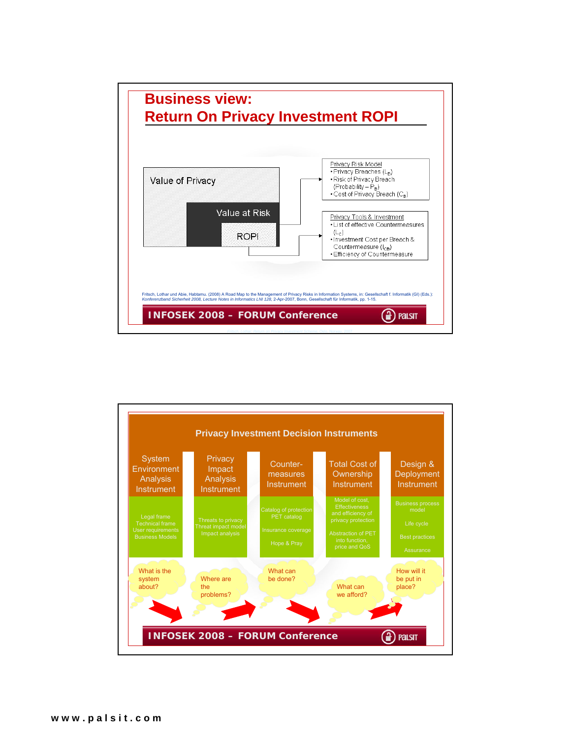

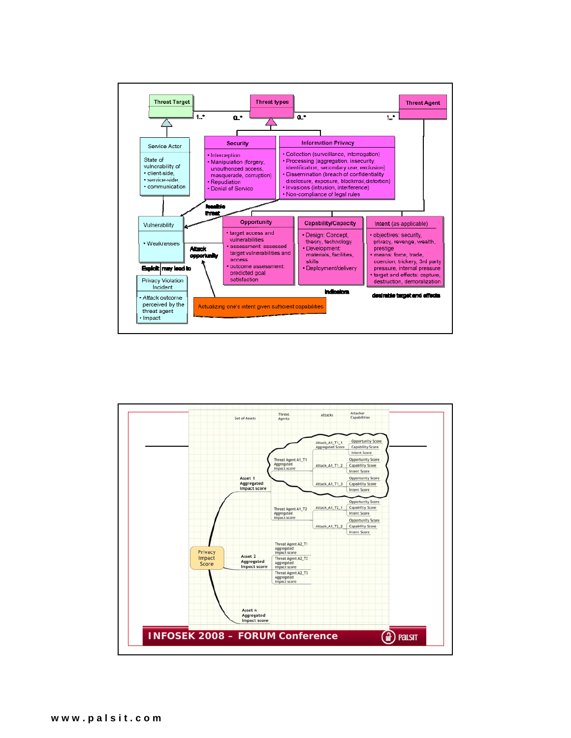

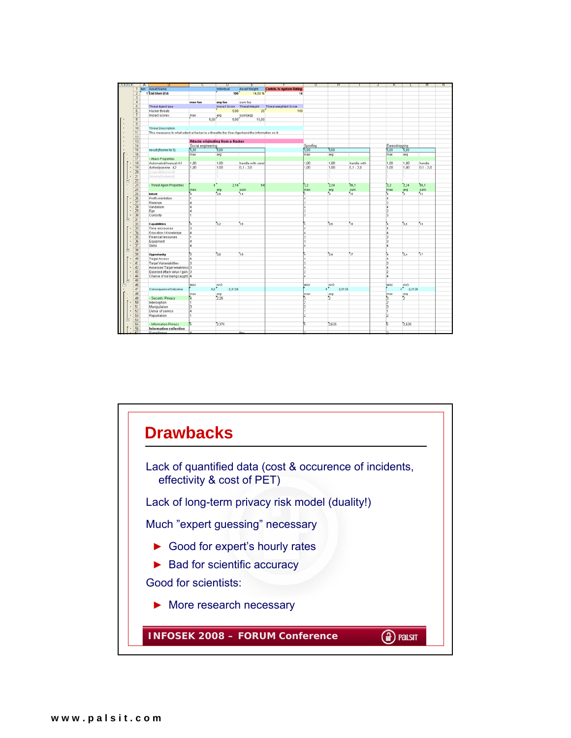

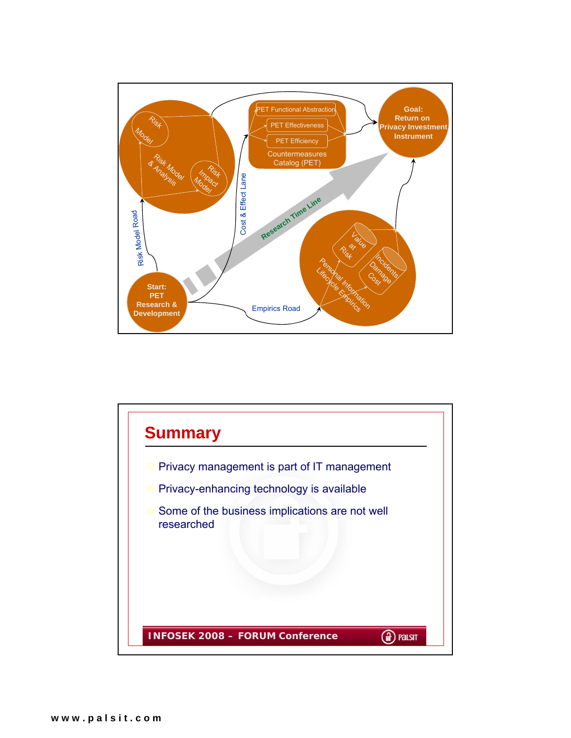